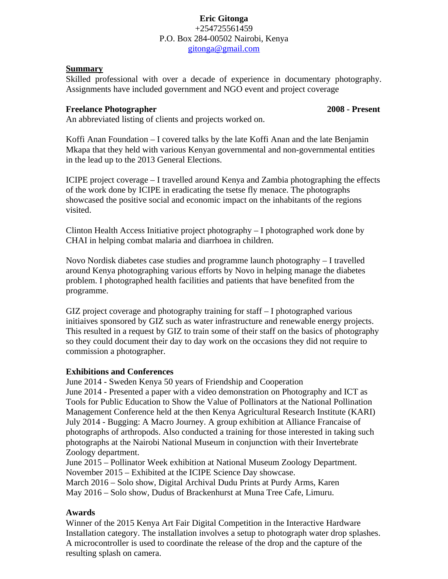### **Eric Gitonga** +254725561459 P.O. Box 284-00502 Nairobi, Kenya [gitonga@gmail.com](mailto:gitonga@egmgem.com)

### **Summary**

Skilled professional with over a decade of experience in documentary photography. Assignments have included government and NGO event and project coverage

### **Freelance Photographer 2008 - Present**

An abbreviated listing of clients and projects worked on.

Koffi Anan Foundation – I covered talks by the late Koffi Anan and the late Benjamin Mkapa that they held with various Kenyan governmental and non-governmental entities in the lead up to the 2013 General Elections.

ICIPE project coverage – I travelled around Kenya and Zambia photographing the effects of the work done by ICIPE in eradicating the tsetse fly menace. The photographs showcased the positive social and economic impact on the inhabitants of the regions visited.

Clinton Health Access Initiative project photography – I photographed work done by CHAI in helping combat malaria and diarrhoea in children.

Novo Nordisk diabetes case studies and programme launch photography – I travelled around Kenya photographing various efforts by Novo in helping manage the diabetes problem. I photographed health facilities and patients that have benefited from the programme.

GIZ project coverage and photography training for staff  $-1$  photographed various initiaives sponsored by GIZ such as water infrastructure and renewable energy projects. This resulted in a request by GIZ to train some of their staff on the basics of photography so they could document their day to day work on the occasions they did not require to commission a photographer.

# **Exhibitions and Conferences**

June 2014 - Sweden Kenya 50 years of Friendship and Cooperation June 2014 - Presented a paper with a video demonstration on Photography and ICT as Tools for Public Education to Show the Value of Pollinators at the National Pollination Management Conference held at the then Kenya Agricultural Research Institute (KARI) July 2014 - Bugging: A Macro Journey. A group exhibition at Alliance Francaise of photographs of arthropods. Also conducted a training for those interested in taking such photographs at the Nairobi National Museum in conjunction with their Invertebrate Zoology department.

June 2015 – Pollinator Week exhibition at National Museum Zoology Department. November 2015 – Exhibited at the ICIPE Science Day showcase. March 2016 – Solo show, Digital Archival Dudu Prints at Purdy Arms, Karen

May 2016 – Solo show, Dudus of Brackenhurst at Muna Tree Cafe, Limuru.

# **Awards**

Winner of the 2015 Kenya Art Fair Digital Competition in the Interactive Hardware Installation category. The installation involves a setup to photograph water drop splashes. A microcontroller is used to coordinate the release of the drop and the capture of the resulting splash on camera.